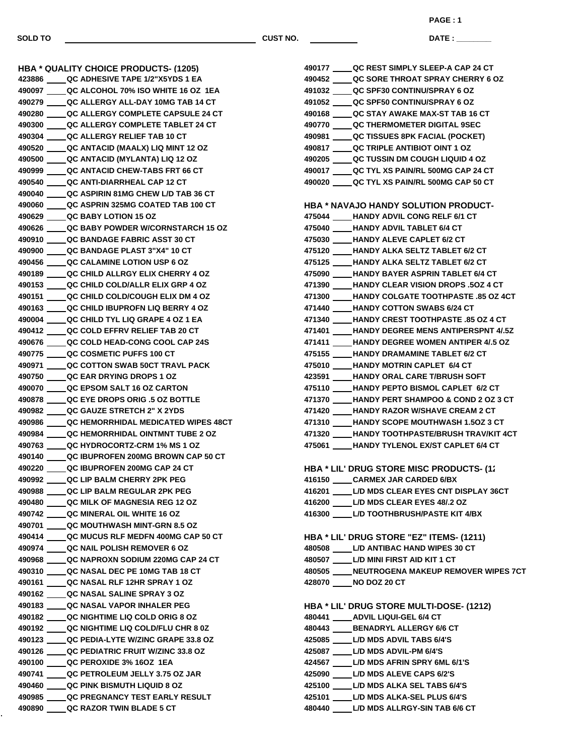**SOLD TO CUST NO.**

**DATE : \_\_\_\_\_\_\_\_\_\_\_\_\_\_\_ PAGE : 1**

**HBA \* QUALITY CHOICE PRODUCTS- (1205) QC ADHESIVE TAPE 1/2"X5YDS 1 EA QC ALCOHOL 70% ISO WHITE 16 OZ 1EA QC ALLERGY ALL-DAY 10MG TAB 14 CT QC ALLERGY COMPLETE CAPSULE 24 CT QC ALLERGY COMPLETE TABLET 24 CT QC ALLERGY RELIEF TAB 10 CT QC ANTACID (MAALX) LIQ MINT 12 OZ QC ANTACID (MYLANTA) LIQ 12 OZ QC ANTACID CHEW-TABS FRT 66 CT QC ANTI-DIARRHEAL CAP 12 CT QC ASPIRIN 81MG CHEW L/D TAB 36 CT QC ASPRIN 325MG COATED TAB 100 CT QC BABY LOTION 15 OZ QC BABY POWDER W/CORNSTARCH 15 OZ QC BANDAGE FABRIC ASST 30 CT QC BANDAGE PLAST 3"X4" 10 CT QC CALAMINE LOTION USP 6 OZ QC CHILD ALLRGY ELIX CHERRY 4 OZ QC CHILD COLD/ALLR ELIX GRP 4 OZ QC CHILD COLD/COUGH ELIX DM 4 OZ QC CHILD IBUPROFN LIQ BERRY 4 OZ QC CHILD TYL LIQ GRAPE 4 OZ 1 EA QC COLD EFFRV RELIEF TAB 20 CT QC COLD HEAD-CONG COOL CAP 24S QC COSMETIC PUFFS 100 CT QC COTTON SWAB 50CT TRAVL PACK QC EAR DRYING DROPS 1 OZ QC EPSOM SALT 16 OZ CARTON QC EYE DROPS ORIG .5 OZ BOTTLE QC GAUZE STRETCH 2" X 2YDS QC HEMORRHIDAL MEDICATED WIPES 48CT QC HEMORRHIDAL OINTMNT TUBE 2 OZ QC HYDROCORTZ-CRM 1% MS 1 OZ QC IBUPROFEN 200MG BROWN CAP 50 CT QC IBUPROFEN 200MG CAP 24 CT QC LIP BALM CHERRY 2PK PEG QC LIP BALM REGULAR 2PK PEG QC MILK OF MAGNESIA REG 12 OZ QC MINERAL OIL WHITE 16 OZ QC MOUTHWASH MINT-GRN 8.5 OZ QC MUCUS RLF MEDFN 400MG CAP 50 CT QC NAIL POLISH REMOVER 6 OZ QC NAPROXN SODIUM 220MG CAP 24 CT QC NASAL DEC PE 10MG TAB 18 CT QC NASAL RLF 12HR SPRAY 1 OZ QC NASAL SALINE SPRAY 3 OZ QC NASAL VAPOR INHALER PEG QC NIGHTIME LIQ COLD ORIG 8 OZ QC NIGHTIME LIQ COLD/FLU CHR 8 0Z QC PEDIA-LYTE W/ZINC GRAPE 33.8 OZ QC PEDIATRIC FRUIT W/ZINC 33.8 OZ QC PEROXIDE 3% 16OZ 1EA QC PETROLEUM JELLY 3.75 OZ JAR QC PINK BISMUTH LIQUID 8 OZ QC PREGNANCY TEST EARLY RESULT QC RAZOR TWIN BLADE 5 CT**

| 490177 _____ QC REST SIMPLY SLEEP-A CAP 24 CT    |
|--------------------------------------------------|
| 490452 _____ QC SORE THROAT SPRAY CHERRY 6 OZ    |
| 491032 _____ QC SPF30 CONTINU/SPRAY 6 OZ         |
| 491052 _____ QC SPF50 CONTINU/SPRAY 6 OZ         |
| 490168 QC STAY AWAKE MAX-ST TAB 16 CT            |
| 490770 _____ QC THERMOMETER DIGITAL 9SEC         |
| 490981 QC TISSUES 8PK FACIAL (POCKET)            |
| 490817 QC TRIPLE ANTIBIOT OINT 1 OZ              |
|                                                  |
| 490205 QC TUSSIN DM COUGH LIQUID 4 OZ            |
| 490017 QC TYL XS PAIN/RL 500MG CAP 24 CT         |
| 490020 QC TYL XS PAIN/RL 500MG CAP 50 CT         |
|                                                  |
| HBA * NAVAJO HANDY SOLUTION PRODUCT-             |
| 475044 ____HANDY ADVIL CONG RELF 6/1 CT          |
| 475040 HANDY ADVIL TABLET 6/4 CT                 |
| 475030 ____HANDY ALEVE CAPLET 6/2 CT             |
| 475120 ____HANDY ALKA SELTZ TABLET 6/2 CT        |
| 475125 ____ HANDY ALKA SELTZ TABLET 6/2 CT       |
| 475090 ____HANDY BAYER ASPRIN TABLET 6/4 CT      |
| 471390 ____ HANDY CLEAR VISION DROPS .5OZ 4 CT   |
| 471300 ____HANDY COLGATE TOOTHPASTE .85 OZ 4CT   |
| 471440 ____HANDY COTTON SWABS 6/24 CT            |
| 471340 ____HANDY CREST TOOTHPASTE .85 OZ 4 CT    |
| 471401 ____ HANDY DEGREE MENS ANTIPERSPNT 4/.5Z  |
| 471411 HANDY DEGREE WOMEN ANTIPER 4/.5 OZ        |
| 475155 _____ HANDY DRAMAMINE TABLET 6/2 CT       |
| 475010 ____HANDY MOTRIN CAPLET 6/4 CT            |
| 423591 ____HANDY ORAL CARE T/BRUSH SOFT          |
| 475110 ____ HANDY PEPTO BISMOL CAPLET 6/2 CT     |
| 471370 ____ HANDY PERT SHAMPOO & COND 2 OZ 3 CT  |
| 471420 ____HANDY RAZOR W/SHAVE CREAM 2 CT        |
| 471310 ____HANDY SCOPE MOUTHWASH 1.5OZ 3 CT      |
| 471320 HANDY TOOTHPASTE/BRUSH TRAV/KIT 4CT       |
| 475061 ____HANDY TYLENOL EX/ST CAPLET 6/4 CT     |
|                                                  |
| <b>HBA * LIL' DRUG STORE MISC PRODUCTS- (1)</b>  |
| 416150 _____ CARMEX JAR CARDED 6/BX              |
| 416201 _____ L/D MDS CLEAR EYES CNT DISPLAY 36CT |
| 416200 _____ L/D MDS CLEAR EYES 48/.2 OZ         |
| 416300 L/D TOOTHBRUSH/PASTE KIT 4/BX             |
|                                                  |
| HBA * LIL' DRUG STORE "EZ" ITEMS- (1211)         |
| 480508 _____ L/D ANTIBAC HAND WIPES 30 CT        |
| 480507 _____ L/D MINI FIRST AID KIT 1 CT         |
| 480505 ____ NEUTROGENA MAKEUP REMOVER WIPES 7CT  |
| 428070 _____ NO DOZ 20 CT                        |
|                                                  |
|                                                  |
| <b>HBA * LIL' DRUG STORE MULTI-DOSE- (1212)</b>  |
| 480441 _____ ADVIL LIQUI-GEL 6/4 CT              |
| 480443 ____ BENADRYL ALLERGY 6/6 CT              |
| 425085 _____ L/D MDS ADVIL TABS 6/4'S            |
| 425087 _____ L/D MDS ADVIL-PM 6/4'S              |
| 424567 _____ L/D MDS AFRIN SPRY 6ML 6/1'S        |
| 425090 _____ L/D MDS ALEVE CAPS 6/2'S            |
| 425100 _____ L/D MDS ALKA SEL TABS 6/4'S         |
| 425101 _____ L/D MDS ALKA-SEL PLUS 6/4'S         |
| 480440 ____ L/D MDS ALLRGY-SIN TAB 6/6 CT        |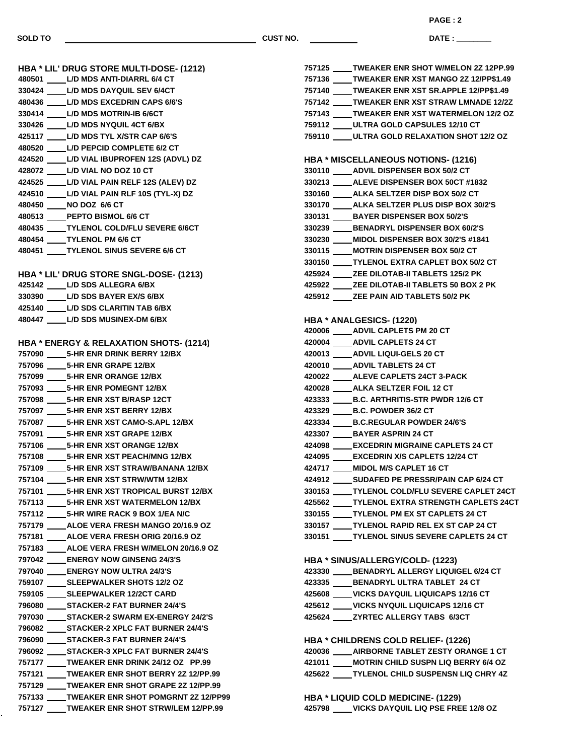**SOLD TO** *CUST NO.* 

**DATE : \_\_ PAGE : 2**

| <b>HBA * LIL' DRUG STORE MULTI-DOSE- (1212)</b>    | 757125 TWEAKER ENR SHOT W/MELON 2Z 12PP.99                                   |
|----------------------------------------------------|------------------------------------------------------------------------------|
| 480501 L/D MDS ANTI-DIARRL 6/4 CT                  | 757136 ___ TWEAKER ENR XST MANGO 2Z 12/PP\$1.49                              |
| 330424 L/D MDS DAYQUIL SEV 6/4CT                   | 757140 TWEAKER ENR XST SR.APPLE 12/PP\$1.49                                  |
| 480436 L/D MDS EXCEDRIN CAPS 6/6'S                 | 757142 TWEAKER ENR XST STRAW LMNADE 12/2Z                                    |
| 330414 L/D MDS MOTRIN-IB 6/6CT                     | 757143 TWEAKER ENR XST WATERMELON 12/2 OZ                                    |
| 330426 L/D MDS NYQUIL 4CT 6/BX                     | 759112 ____ ULTRA GOLD CAPSULES 12/10 CT                                     |
| 425117 L/D MDS TYL X/STR CAP 6/6'S                 | 759110 ULTRA GOLD RELAXATION SHOT 12/2 OZ                                    |
| 480520 L/D PEPCID COMPLETE 6/2 CT                  |                                                                              |
| 424520 L/D VIAL IBUPROFEN 12S (ADVL) DZ            | <b>HBA * MISCELLANEOUS NOTIONS- (1216)</b>                                   |
| 428072 L/D VIAL NO DOZ 10 CT                       | 330110 ADVIL DISPENSER BOX 50/2 CT                                           |
| 424525 L/D VIAL PAIN RELF 12S (ALEV) DZ            | 330213 ALEVE DISPENSER BOX 50CT #1832                                        |
| 424510 L/D VIAL PAIN RLF 10S (TYL-X) DZ            | 330160 ____ ALKA SELTZER DISP BOX 50/2 CT                                    |
| 480450 NO DOZ 6/6 CT                               | 330170 ____ ALKA SELTZER PLUS DISP BOX 30/2'S                                |
| 480513 PEPTO BISMOL 6/6 CT                         | 330131 BAYER DISPENSER BOX 50/2'S                                            |
| 480435 TYLENOL COLD/FLU SEVERE 6/6CT               | 330239 BENADRYL DISPENSER BOX 60/2'S                                         |
| 480454 TYLENOL PM 6/6 CT                           | 330230 ____ MIDOL DISPENSER BOX 30/2'S #1841                                 |
| 480451 TYLENOL SINUS SEVERE 6/6 CT                 | 330115 ____ MOTRIN DISPENSER BOX 50/2 CT                                     |
|                                                    | 330150 TYLENOL EXTRA CAPLET BOX 50/2 CT                                      |
| HBA * LIL' DRUG STORE SNGL-DOSE- (1213)            | 425924 ZEE DILOTAB-II TABLETS 125/2 PK                                       |
| 425142 L/D SDS ALLEGRA 6/BX                        | 425922 ZEE DILOTAB-II TABLETS 50 BOX 2 PK                                    |
| 330390 L/D SDS BAYER EX/S 6/BX                     | 425912 ______ ZEE PAIN AID TABLETS 50/2 PK                                   |
| 425140 L/D SDS CLARITIN TAB 6/BX                   |                                                                              |
| 480447 L/D SDS MUSINEX-DM 6/BX                     | HBA * ANALGESICS- (1220)                                                     |
|                                                    | 420006 ADVIL CAPLETS PM 20 CT                                                |
| <b>HBA * ENERGY &amp; RELAXATION SHOTS- (1214)</b> | 420004 ____ ADVIL CAPLETS 24 CT                                              |
| 757090 5-HR ENR DRINK BERRY 12/BX                  | 420013 ____ ADVIL LIQUI-GELS 20 CT                                           |
| 757096 ______ 5-HR ENR GRAPE 12/BX                 | 420010 ____ ADVIL TABLETS 24 CT                                              |
| 757099 _______ 5-HR ENR ORANGE 12/BX               | 420022 ____ ALEVE CAPLETS 24CT 3-PACK                                        |
| 757093 ______ 5-HR ENR POMEGNT 12/BX               | 420028 _____ ALKA SELTZER FOIL 12 CT                                         |
| 757098 __ 5-HR ENR XST B/RASP 12CT                 | 423333 B.C. ARTHRITIS-STR PWDR 12/6 CT                                       |
| 757097 5-HR ENR XST BERRY 12/BX                    | 423329 B.C. POWDER 36/2 CT                                                   |
| 757087 __ 5-HR ENR XST CAMO-S.APL 12/BX            | 423334 B.C.REGULAR POWDER 24/6'S                                             |
| 757091 5-HR ENR XST GRAPE 12/BX                    | 423307 BAYER ASPRIN 24 CT                                                    |
| 757106 5-HR ENR XST ORANGE 12/BX                   | 424098 EXCEDRIN MIGRAINE CAPLETS 24 CT                                       |
| 757108 5-HR ENR XST PEACH/MNG 12/BX                | 424095 EXCEDRIN X/S CAPLETS 12/24 CT                                         |
| 757109 _____ 5-HR ENR XST STRAW/BANANA 12/BX       | 424717 ____ MIDOL M/S CAPLET 16 CT                                           |
| 757104 _______ 5-HR ENR XST STRW/WTM 12/BX         | 424912 ____ SUDAFED PE PRESSR/PAIN CAP 6/24 CT                               |
| 757101 _______ 5-HR ENR XST TROPICAL BURST 12/BX   | 330153 TYLENOL COLD/FLU SEVERE CAPLET 24CT                                   |
| 757113 _______ 5-HR ENR XST WATERMELON 12/BX       | 425562 TYLENOL EXTRA STRENGTH CAPLETS 24CT                                   |
| 757112 5-HR WIRE RACK 9 BOX 1/EA N/C               | 330155 _____ TYLENOL PM EX ST CAPLETS 24 CT                                  |
| 757179 ALOE VERA FRESH MANGO 20/16.9 OZ            | 330157 _____ TYLENOL RAPID REL EX ST CAP 24 CT                               |
| 757181 ALOE VERA FRESH ORIG 20/16.9 OZ             | 330151 TYLENOL SINUS SEVERE CAPLETS 24 CT                                    |
| 757183 _____ ALOE VERA FRESH W/MELON 20/16.9 OZ    |                                                                              |
| 797042 ENERGY NOW GINSENG 24/3'S                   |                                                                              |
| 797040 ENERGY NOW ULTRA 24/3'S                     | HBA * SINUS/ALLERGY/COLD- (1223)<br>423330 BENADRYL ALLERGY LIQUIGEL 6/24 CT |
| 759107 _____ SLEEPWALKER SHOTS 12/2 OZ             | 423335 BENADRYL ULTRA TABLET 24 CT                                           |
| 759105 SLEEPWALKER 12/2CT CARD                     | 425608 VICKS DAYQUIL LIQUICAPS 12/16 CT                                      |
|                                                    |                                                                              |
| 796080 STACKER-2 FAT BURNER 24/4'S                 | 425612 VICKS NYQUIL LIQUICAPS 12/16 CT                                       |
| 797030 STACKER-2 SWARM EX-ENERGY 24/2'S            | 425624 ZYRTEC ALLERGY TABS 6/3CT                                             |
| 796082 _____ STACKER-2 XPLC FAT BURNER 24/4'S      |                                                                              |
| 796090 STACKER-3 FAT BURNER 24/4'S                 | <b>HBA * CHILDRENS COLD RELIEF- (1226)</b>                                   |
| 796092 _____ STACKER-3 XPLC FAT BURNER 24/4'S      | 420036 AIRBORNE TABLET ZESTY ORANGE 1 CT                                     |
| 757177 TWEAKER ENR DRINK 24/12 OZ PP.99            | 421011 ____ MOTRIN CHILD SUSPN LIQ BERRY 6/4 OZ                              |
| 757121 TWEAKER ENR SHOT BERRY 2Z 12/PP.99          | 425622 TYLENOL CHILD SUSPENSN LIQ CHRY 4Z                                    |
| 757129 TWEAKER ENR SHOT GRAPE 2Z 12/PP.99          |                                                                              |
| 757133 TWEAKER ENR SHOT POMGRNT 2Z 12/PP99         | <b>HBA * LIQUID COLD MEDICINE- (1229)</b>                                    |
| 757127 _____ TWEAKER ENR SHOT STRW/LEM 12/PP.99    | 425798 VICKS DAYQUIL LIQ PSE FREE 12/8 OZ                                    |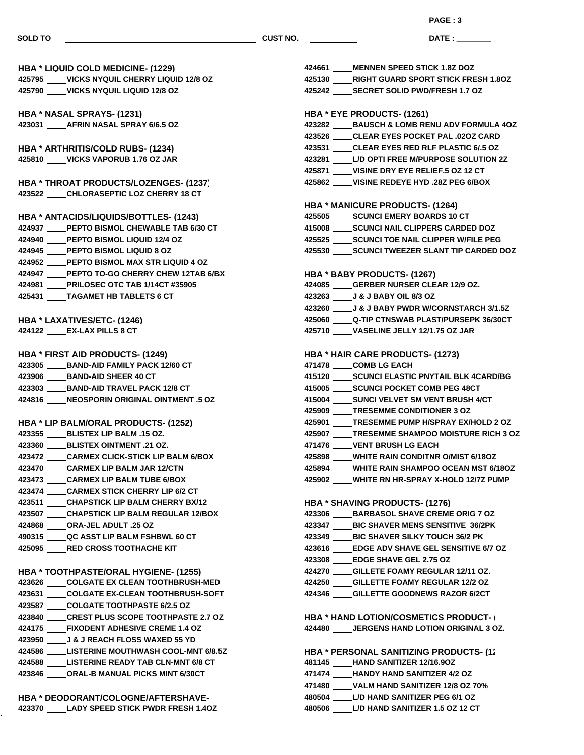**SOLD TO CUST NO.**

**DATE : \_\_\_\_\_\_\_\_\_\_\_\_\_\_\_ PAGE : 3**

**HBA \* LIQUID COLD MEDICINE- (1229) VICKS NYQUIL CHERRY LIQUID 12/8 OZ VICKS NYQUIL LIQUID 12/8 OZ HBA \* NASAL SPRAYS- (1231) AFRIN NASAL SPRAY 6/6.5 OZ HBA \* ARTHRITIS/COLD RUBS- (1234) VICKS VAPORUB 1.76 OZ JAR HBA \* THROAT PRODUCTS/LOZENGES- (1237) CHLORASEPTIC LOZ CHERRY 18 CT HBA \* ANTACIDS/LIQUIDS/BOTTLES- (1243) PEPTO BISMOL CHEWABLE TAB 6/30 CT PEPTO BISMOL LIQUID 12/4 OZ PEPTO BISMOL LIQUID 8 OZ PEPTO BISMOL MAX STR LIQUID 4 OZ PEPTO TO-GO CHERRY CHEW 12TAB 6/BX PRILOSEC OTC TAB 1/14CT #35905 TAGAMET HB TABLETS 6 CT HBA \* LAXATIVES/ETC- (1246) EX-LAX PILLS 8 CT HBA \* FIRST AID PRODUCTS- (1249) BAND-AID FAMILY PACK 12/60 CT BAND-AID SHEER 40 CT BAND-AID TRAVEL PACK 12/8 CT NEOSPORIN ORIGINAL OINTMENT .5 OZ HBA \* LIP BALM/ORAL PRODUCTS- (1252) BLISTEX LIP BALM .15 OZ. BLISTEX OINTMENT .21 OZ. CARMEX CLICK-STICK LIP BALM 6/BOX CARMEX LIP BALM JAR 12/CTN CARMEX LIP BALM TUBE 6/BOX CARMEX STICK CHERRY LIP 6/2 CT CHAPSTICK LIP BALM CHERRY BX/12 CHAPSTICK LIP BALM REGULAR 12/BOX ORA-JEL ADULT .25 OZ QC ASST LIP BALM FSHBWL 60 CT RED CROSS TOOTHACHE KIT HBA \* TOOTHPASTE/ORAL HYGIENE- (1255) COLGATE EX CLEAN TOOTHBRUSH-MED COLGATE EX-CLEAN TOOTHBRUSH-SOFT COLGATE TOOTHPASTE 6/2.5 OZ CREST PLUS SCOPE TOOTHPASTE 2.7 OZ FIXODENT ADHESIVE CREME 1.4 OZ J & J REACH FLOSS WAXED 55 YD LISTERINE MOUTHWASH COOL-MNT 6/8.5Z LISTERINE READY TAB CLN-MNT 6/8 CT ORAL-B MANUAL PICKS MINT 6/30CT HBA \* DEODORANT/COLOGNE/AFTERSHAVE- LADY SPEED STICK PWDR FRESH 1.4OZ MENNEN SPEED STICK 1.8Z DOZ RIGHT GUARD SPORT STICK FRESH 1.8OZ SECRET SOLID PWD/FRESH 1.7 OZ HBA \* EYE PRODUCTS- (1261) BAUSCH & LOMB RENU ADV FORMULA 4OZ CLEAR EYES POCKET PAL .02OZ CARD CLEAR EYES RED RLF PLASTIC 6/.5 OZ L/D OPTI FREE M/PURPOSE SOLUTION 2Z VISINE DRY EYE RELIEF.5 OZ 12 CT VISINE REDEYE HYD .28Z PEG 6/BOX HBA \* MANICURE PRODUCTS- (1264) SCUNCI EMERY BOARDS 10 CT SCUNCI NAIL CLIPPERS CARDED DOZ SCUNCI TOE NAIL CLIPPER W/FILE PEG SCUNCI TWEEZER SLANT TIP CARDED DOZ HBA \* BABY PRODUCTS- (1267) GERBER NURSER CLEAR 12/9 OZ. J & J BABY OIL 8/3 OZ J & J BABY PWDR W/CORNSTARCH 3/1.5Z Q-TIP CTNSWAB PLAST/PURSEPK 36/30CT VASELINE JELLY 12/1.75 OZ JAR HBA \* HAIR CARE PRODUCTS- (1273) COMB LG EACH SCUNCI ELASTIC PNYTAIL BLK 4CARD/BG SCUNCI POCKET COMB PEG 48CT SUNCI VELVET SM VENT BRUSH 4/CT TRESEMME CONDITIONER 3 OZ TRESEMME PUMP H/SPRAY EX/HOLD 2 OZ TRESEMME SHAMPOO MOISTURE RICH 3 OZ VENT BRUSH LG EACH WHITE RAIN CONDITNR O/MIST 6/18OZ WHITE RAIN SHAMPOO OCEAN MST 6/18OZ WHITE RN HR-SPRAY X-HOLD 12/7Z PUMP HBA \* SHAVING PRODUCTS- (1276) BARBASOL SHAVE CREME ORIG 7 OZ BIC SHAVER MENS SENSITIVE 36/2PK BIC SHAVER SILKY TOUCH 36/2 PK EDGE ADV SHAVE GEL SENSITIVE 6/7 OZ EDGE SHAVE GEL 2.75 OZ GILLETE FOAMY REGULAR 12/11 OZ. GILLETTE FOAMY REGULAR 12/2 OZ GILLETTE GOODNEWS RAZOR 6/2CT HBA \* HAND LOTION/COSMETICS PRODUCT- (1279) JERGENS HAND LOTION ORIGINAL 3 OZ. HBA \* PERSONAL SANITIZING PRODUCTS- (1) HAND SANITIZER 12/16.9OZ HANDY HAND SANITIZER 4/2 OZ VALM HAND SANITIZER 12/8 OZ 70% L/D HAND SANITIZER PEG 6/1 OZ L/D HAND SANITIZER 1.5 OZ 12 CT**